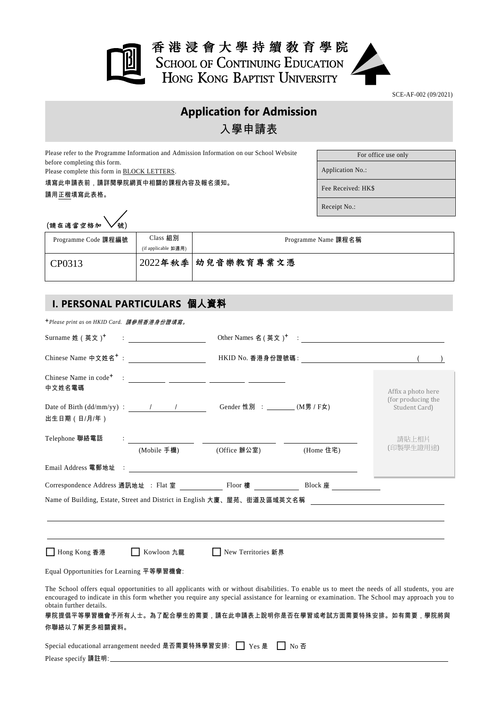

SCE-AF-002 (09/2021)

## **Application for Admission** 入學申請表

Please refer to the Programme Information and Admission Information on our School Website before completing this form.

Please complete this form in BLOCK LETTERS.

填寫此申請表前,請詳閱學院網頁中相關的課程內容及報名須知。 請用正楷填寫此表格。

For office use only

Application No.:

Fee Received: HK\$

Receipt No.:

| (請在適當空格加 \ 號) |  |
|---------------|--|
|               |  |

| (請在適當空格加 ▽號)        |                     |                     |
|---------------------|---------------------|---------------------|
| Programme Code 課程編號 | Class 組別            | Programme Name 課程名稱 |
|                     | (if applicable 如適用) |                     |
| CP0313              |                     | 2022年秋季 幼兒音樂教育專業文憑  |

## **I. PERSONAL PARTICULARS** 個人資料

+*Please print as on HKID Card.* 請參照香港身份證填寫。

| Surname 姓 (英文) <sup>+</sup>                                                    | $\mathbf{E}[\mathbf{y}]=\mathbf{y}$ , we have a set of $\mathbf{y}$ |                               | Other Names 名 ( 英文 ) <sup>+</sup> : |                                                                                                                                                                                                                                                                                                                                                               |
|--------------------------------------------------------------------------------|---------------------------------------------------------------------|-------------------------------|-------------------------------------|---------------------------------------------------------------------------------------------------------------------------------------------------------------------------------------------------------------------------------------------------------------------------------------------------------------------------------------------------------------|
|                                                                                |                                                                     |                               |                                     |                                                                                                                                                                                                                                                                                                                                                               |
| 中文姓名電碼                                                                         |                                                                     |                               |                                     | Affix a photo here<br>(for producing the                                                                                                                                                                                                                                                                                                                      |
| Date of Birth $(dd/mm/yy)$ : $\qquad \qquad / \qquad \qquad /$<br>出生日期 (日/月/年) |                                                                     | Gender 性別 : _______ (M男 / F女) |                                     | Student Card)                                                                                                                                                                                                                                                                                                                                                 |
| Telephone 聯絡電話                                                                 |                                                                     |                               |                                     | 請貼上相片                                                                                                                                                                                                                                                                                                                                                         |
|                                                                                | (Mobile 手機)                                                         | (Office 辦公室)                  | (Home 住宅)                           | (印製學生證用途)                                                                                                                                                                                                                                                                                                                                                     |
|                                                                                |                                                                     |                               |                                     |                                                                                                                                                                                                                                                                                                                                                               |
|                                                                                |                                                                     |                               |                                     |                                                                                                                                                                                                                                                                                                                                                               |
|                                                                                |                                                                     |                               |                                     | Name of Building, Estate, Street and District in English 大廈、屋苑、街道及區域英文名稱                                                                                                                                                                                                                                                                                      |
| □ Hong Kong 香港                                                                 | Kowloon 九龍                                                          | New Territories 新界            |                                     |                                                                                                                                                                                                                                                                                                                                                               |
| Equal Opportunities for Learning 平等學習機會:                                       |                                                                     |                               |                                     |                                                                                                                                                                                                                                                                                                                                                               |
| obtain further details.<br>你聯絡以了解更多相關資料。                                       |                                                                     |                               |                                     | The School offers equal opportunities to all applicants with or without disabilities. To enable us to meet the needs of all students, you are<br>encouraged to indicate in this form whether you require any special assistance for learning or examination. The School may approach you to<br>學院提倡平等學習機會予所有人士。為了配合學生的需要,請在此申請表上說明你是否在學習或考試方面需要特殊安排。如有需要,學院將與 |
| Special educational arrangement needed 是否需要特殊學習安排:   Yes 是                     |                                                                     |                               | Ⅰ No 否                              |                                                                                                                                                                                                                                                                                                                                                               |
|                                                                                |                                                                     |                               |                                     |                                                                                                                                                                                                                                                                                                                                                               |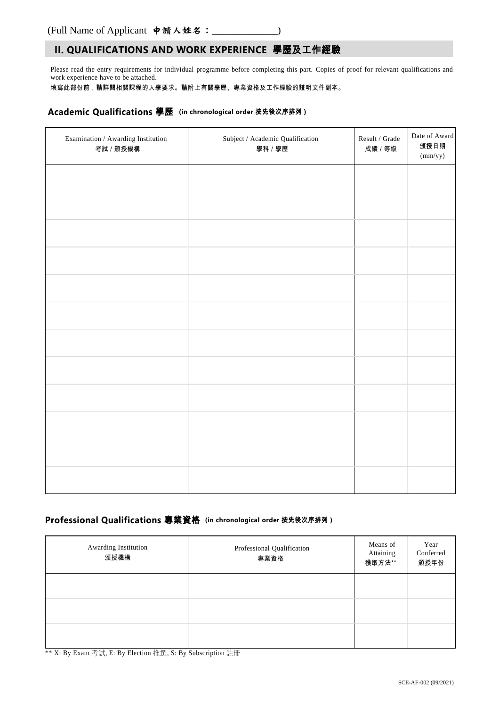## **II. QUALIFICATIONS AND WORK EXPERIENCE** 學歷及工作經驗

Please read the entry requirements for individual programme before completing this part. Copies of proof for relevant qualifications and work experience have to be attached.

填寫此部份前,請詳閱相關課程的入學要求。請附上有關學歷、專業資格及工作經驗的證明文件副本。

#### **Academic Qualifications** 學歷 **(in chronological order** 按先後次序排列 **)**

| Examination / Awarding Institution<br>考試 / 頒授機構 | ${\bf Subject}$ / Academic Qualification<br>學科 / 學歷 | Result / Grade<br>成績 / 等級 | Date of Award<br>頒授日期<br>(mm/yy) |
|-------------------------------------------------|-----------------------------------------------------|---------------------------|----------------------------------|
|                                                 |                                                     |                           |                                  |
|                                                 |                                                     |                           |                                  |
|                                                 |                                                     |                           |                                  |
|                                                 |                                                     |                           |                                  |
|                                                 |                                                     |                           |                                  |
|                                                 |                                                     |                           |                                  |
|                                                 |                                                     |                           |                                  |
|                                                 |                                                     |                           |                                  |
|                                                 |                                                     |                           |                                  |
|                                                 |                                                     |                           |                                  |
|                                                 |                                                     |                           |                                  |
|                                                 |                                                     |                           |                                  |

## **Professional Qualifications** 專業資格 **(in chronological order** 按先後次序排列 **)**

| Awarding Institution<br>頒授機構 | Professional Qualification<br>專業資格 | Means of<br>Attaining<br>獲取方法** | Year<br>Conferred<br>頒授年份 |
|------------------------------|------------------------------------|---------------------------------|---------------------------|
|                              |                                    |                                 |                           |
|                              |                                    |                                 |                           |
|                              |                                    |                                 |                           |

\*\* X: By Exam 考試, E: By Election 推選, S: By Subscription 註冊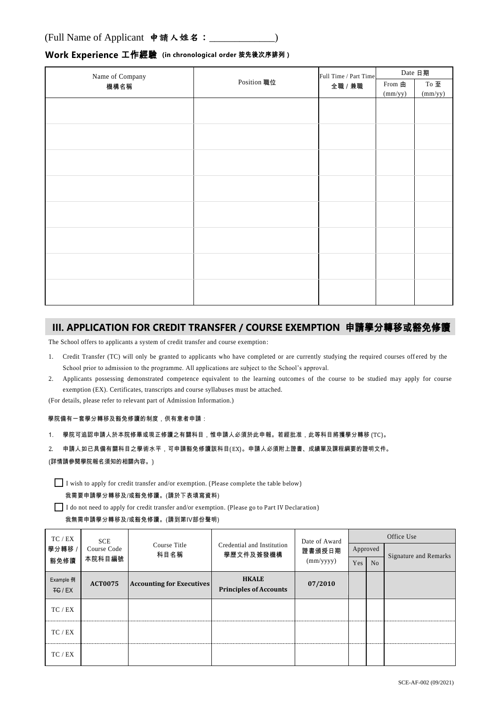# Name of Company e of eompany<br>機構名稱 インファイル Position 職位 Full Time / Part Time 全職 / 兼職 Date 日期 From 由 (mm/yy) To 至 (mm/yy)

### **Work Experience** 工作經驗 **(in chronological order** 按先後次序排列 **)**

## **III. APPLICATION FOR CREDIT TRANSFER / COURSE EXEMPTION** 申請學分轉移或豁免修讀

The School offers to applicants a system of credit transfer and course exemption :

- 1. Credit Transfer (TC) will only be granted to applicants who have completed or are currently studying the required courses off ered by the School prior to admission to the programme. All applications are subject to the School's approval.
- 2. Applicants possessing demonstrated competence equivalent to the learning outcomes of the course to be studied may apply for course exemption (EX). Certificates, transcripts and course syllabuses must be attached.

(For details, please refer to relevant part of Admission Information.)

#### 學院備有一套學分轉移及豁免修讀的制度,供有意者申請:

- 1. 學院可追認申請人於本院修畢或現正修讀之有關科目,惟申請人必須於此申報。若經批准,此等科目將獲學分轉移 (TC)。
- 2. 申請人如已具備有關科目之學術水平,可申請豁免修讀該科目(EX)。申請人必須附上證書、成績單及課程綱要的證明文件。

#### (詳情請參閱學院報名須知的相關內容。)

 $\prod$  I wish to apply for credit transfer and/or exemption. (Please complete the table below)

#### 我需要申請學分轉移及/或豁免修讀。(請於下表填寫資料)

I do not need to apply for credit transfer and/or exemption. (Please go to Part IV Declaration)

#### 我無需申請學分轉移及/或豁免修讀。(請到第IV部份聲明)

| TC / EX            | <b>SCE</b><br>Course Code<br>本院科目編號 | Course Title<br>科目名稱             |                                               | Date of Award<br>證書頒授日期<br>(mm/yyyy) | Office Use |    |                              |  |
|--------------------|-------------------------------------|----------------------------------|-----------------------------------------------|--------------------------------------|------------|----|------------------------------|--|
| 學分轉移 /             |                                     |                                  | Credential and Institution<br>學歷文件及簽發機構       |                                      | Approved   |    | <b>Signature and Remarks</b> |  |
| 豁免修讀               |                                     |                                  |                                               |                                      | Yes        | No |                              |  |
| Example 例<br>FG/EX | <b>ACT0075</b>                      | <b>Accounting for Executives</b> | <b>HKALE</b><br><b>Principles of Accounts</b> | 07/2010                              |            |    |                              |  |
| TC/EX              |                                     |                                  |                                               |                                      |            |    |                              |  |
| TC / EX            |                                     |                                  |                                               |                                      |            |    |                              |  |
| TC / EX            |                                     |                                  |                                               |                                      |            |    |                              |  |